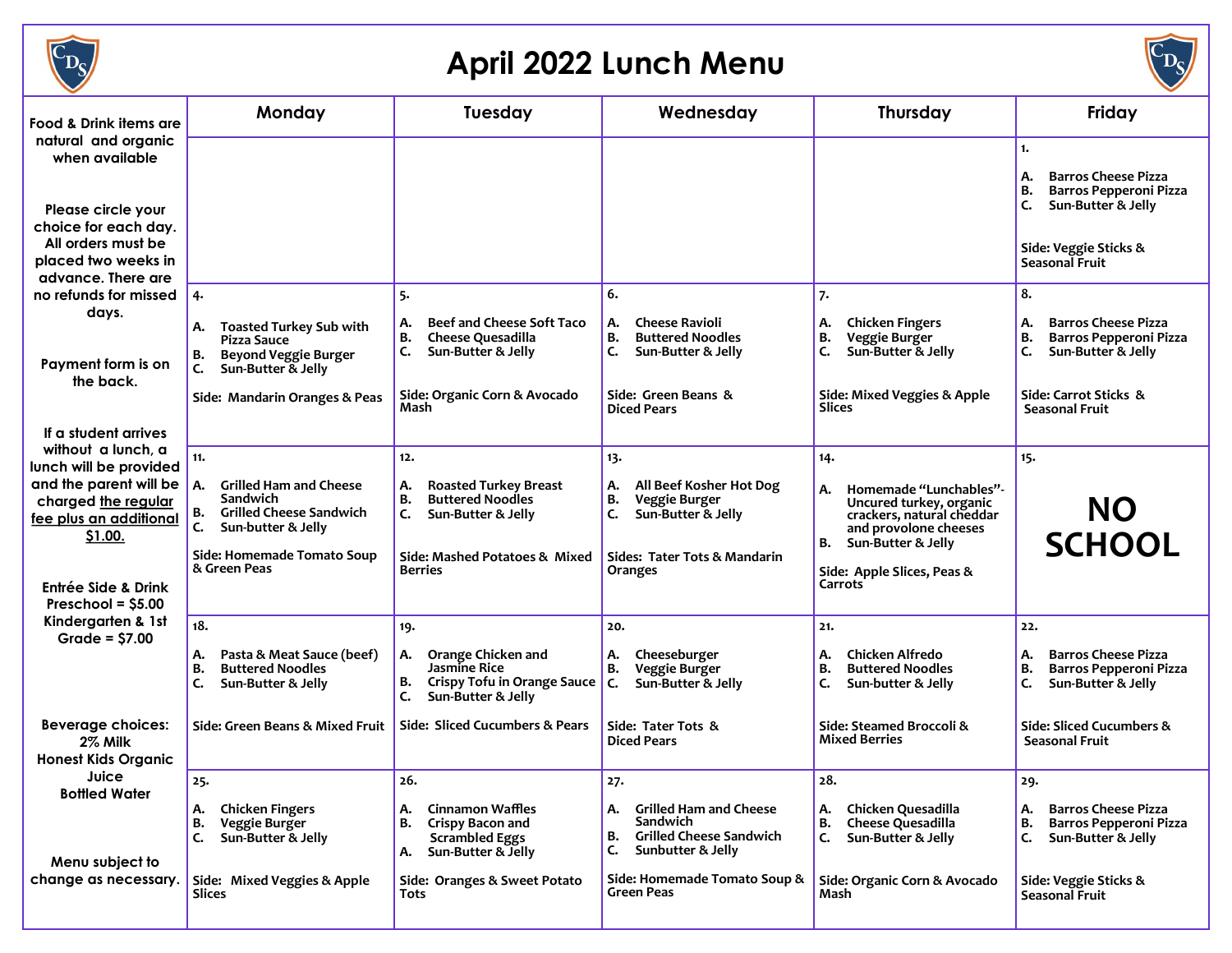

## **April 2022 Lunch Menu**



| Food & Drink items are                                                                                                           | Monday<br>Tuesday                                                                                                                                                 |                                                                                                                                                             | Wednesday                                                                                                                                                                   | <b>Thursday</b>                                                                                                                                                                           | Friday                                                                                                                                               |
|----------------------------------------------------------------------------------------------------------------------------------|-------------------------------------------------------------------------------------------------------------------------------------------------------------------|-------------------------------------------------------------------------------------------------------------------------------------------------------------|-----------------------------------------------------------------------------------------------------------------------------------------------------------------------------|-------------------------------------------------------------------------------------------------------------------------------------------------------------------------------------------|------------------------------------------------------------------------------------------------------------------------------------------------------|
| natural and organic<br>when available<br>Please circle your<br>choice for each day.<br>All orders must be<br>placed two weeks in |                                                                                                                                                                   |                                                                                                                                                             |                                                                                                                                                                             |                                                                                                                                                                                           | 1.<br><b>Barros Cheese Pizza</b><br>А.<br><b>Barros Pepperoni Pizza</b><br>В.<br>Sun-Butter & Jelly<br>C.<br>Side: Veggie Sticks &<br>Seasonal Fruit |
| advance. There are<br>no refunds for missed<br>days.<br>Payment form is on                                                       | 4.<br><b>Toasted Turkey Sub with</b><br>А.<br>Pizza Sauce<br><b>Beyond Veggie Burger</b><br>в.                                                                    | 5.<br><b>Beef and Cheese Soft Taco</b><br>А.<br>В.<br>Cheese Quesadilla<br>Sun-Butter & Jelly<br>C.                                                         | 6.<br><b>Cheese Ravioli</b><br>А.<br>В.<br><b>Buttered Noodles</b><br>C.<br>Sun-Butter & Jelly                                                                              | 7.<br><b>Chicken Fingers</b><br>А.<br>в.<br>Veggie Burger<br>C.<br>Sun-Butter & Jelly                                                                                                     | 8.<br><b>Barros Cheese Pizza</b><br>А.<br><b>Barros Pepperoni Pizza</b><br>В.<br>C.<br>Sun-Butter & Jelly                                            |
| the back.<br>If a student arrives                                                                                                | Sun-Butter & Jelly<br>C.<br>Side: Mandarin Oranges & Peas                                                                                                         | Side: Organic Corn & Avocado<br>Mash                                                                                                                        | Side: Green Beans &<br><b>Diced Pears</b>                                                                                                                                   | Side: Mixed Veggies & Apple<br><b>Slices</b>                                                                                                                                              | Side: Carrot Sticks &<br>Seasonal Fruit                                                                                                              |
| without a lunch, a<br>lunch will be provided                                                                                     | 11.                                                                                                                                                               | 12.                                                                                                                                                         | 13.                                                                                                                                                                         | 14.                                                                                                                                                                                       | 15.                                                                                                                                                  |
| and the parent will be<br>charged the regular<br>fee plus an additional<br>\$1.00.<br>Entrée Side & Drink                        | <b>Grilled Ham and Cheese</b><br>А.<br>Sandwich<br><b>Grilled Cheese Sandwich</b><br>в.<br>C.<br>Sun-butter & Jelly<br>Side: Homemade Tomato Soup<br>& Green Peas | А.<br><b>Roasted Turkey Breast</b><br>в.<br><b>Buttered Noodles</b><br>C.<br>Sun-Butter & Jelly<br>Side: Mashed Potatoes & Mixed<br><b>Berries</b>          | All Beef Kosher Hot Dog<br>А.<br>Veggie Burger<br>в.<br>Sun-Butter & Jelly<br>c.<br>Sides: Tater Tots & Mandarin<br>Oranges                                                 | Homemade "Lunchables"-<br>Α.<br>Uncured turkey, organic<br>crackers, natural cheddar<br>and provolone cheeses<br>Sun-Butter & Jelly<br>В.<br>Side: Apple Slices, Peas &<br><b>Carrots</b> | NO.<br><b>SCHOOL</b>                                                                                                                                 |
| Preschool = $$5.00$                                                                                                              |                                                                                                                                                                   |                                                                                                                                                             |                                                                                                                                                                             |                                                                                                                                                                                           |                                                                                                                                                      |
| Kindergarten & 1st<br>Grade = $$7.00$                                                                                            | 18.                                                                                                                                                               | 19.                                                                                                                                                         | 20.                                                                                                                                                                         | 21.                                                                                                                                                                                       | 22.                                                                                                                                                  |
|                                                                                                                                  | Pasta & Meat Sauce (beef)<br>А.<br><b>Buttered Noodles</b><br>В.<br>C.<br>Sun-Butter & Jelly                                                                      | Orange Chicken and<br>А.<br>Jasmine Rice<br><b>Crispy Tofu in Orange Sauce</b><br>В.<br>C.<br>Sun-Butter & Jelly                                            | Cheeseburger<br>А.<br>В.<br>Veggie Burger<br>IC.<br>Sun-Butter & Jelly                                                                                                      | Chicken Alfredo<br>А.<br><b>Buttered Noodles</b><br>В.<br>C.<br>Sun-butter & Jelly                                                                                                        | <b>Barros Cheese Pizza</b><br>А.<br><b>Barros Pepperoni Pizza</b><br>В.<br>Sun-Butter & Jelly<br>C.                                                  |
| <b>Beverage choices:</b><br>2% Milk<br><b>Honest Kids Organic</b>                                                                | Side: Green Beans & Mixed Fruit                                                                                                                                   | Side: Sliced Cucumbers & Pears                                                                                                                              | Side: Tater Tots &<br><b>Diced Pears</b>                                                                                                                                    | Side: Steamed Broccoli &<br><b>Mixed Berries</b>                                                                                                                                          | Side: Sliced Cucumbers &<br>Seasonal Fruit                                                                                                           |
| Juice<br><b>Bottled Water</b><br>Menu subject to<br>change as necessary.                                                         | 25.<br><b>Chicken Fingers</b><br>А.<br>в.<br>Veggie Burger<br>Sun-Butter & Jelly<br>C.<br>Side: Mixed Veggies & Apple<br>Slices                                   | 26.<br><b>Cinnamon Waffles</b><br>А.<br>Crispy Bacon and<br>B.<br><b>Scrambled Eggs</b><br>Sun-Butter & Jelly<br>А.<br>Side: Oranges & Sweet Potato<br>Tots | 27.<br>A. Grilled Ham and Cheese<br><b>Sandwich</b><br><b>Grilled Cheese Sandwich</b><br>В.<br>Sunbutter & Jelly<br>C.<br>Side: Homemade Tomato Soup &<br><b>Green Peas</b> | 28.<br>Chicken Quesadilla<br>А.<br>Cheese Quesadilla<br>В.<br>Sun-Butter & Jelly<br>C.<br>Side: Organic Corn & Avocado<br>Mash                                                            | 29.<br><b>Barros Cheese Pizza</b><br>А.<br>Barros Pepperoni Pizza<br>В.<br>Sun-Butter & Jelly<br>C.<br>Side: Veggie Sticks &<br>Seasonal Fruit       |
|                                                                                                                                  |                                                                                                                                                                   |                                                                                                                                                             |                                                                                                                                                                             |                                                                                                                                                                                           |                                                                                                                                                      |